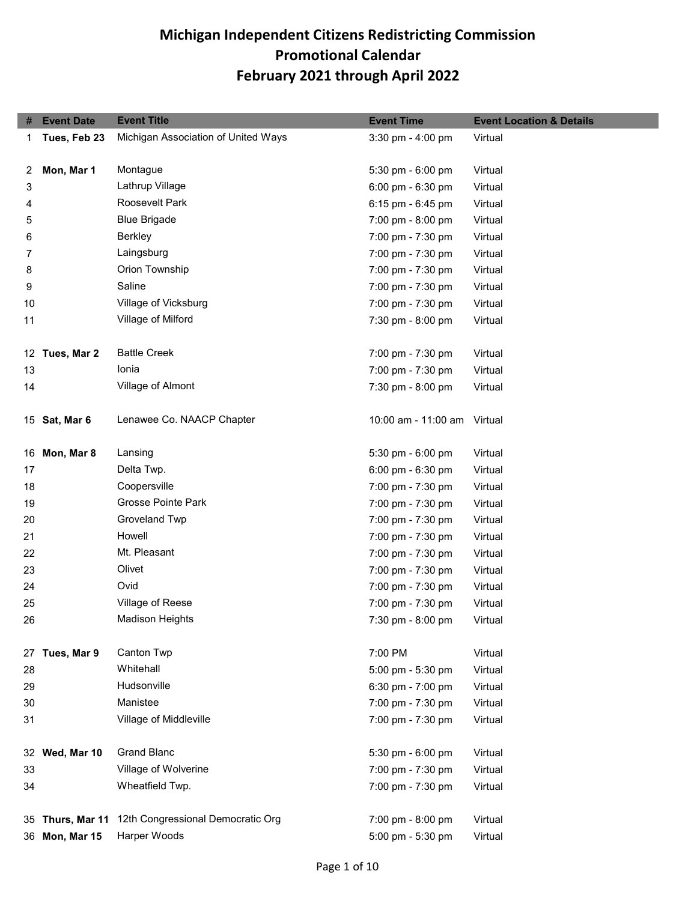| #  | <b>Event Date</b> | <b>Event Title</b>                  | <b>Event Time</b>           | <b>Event Location &amp; Details</b> |
|----|-------------------|-------------------------------------|-----------------------------|-------------------------------------|
| 1  | Tues, Feb 23      | Michigan Association of United Ways | 3:30 pm - 4:00 pm           | Virtual                             |
|    |                   |                                     |                             |                                     |
| 2  | Mon, Mar 1        | Montague                            | 5:30 pm - 6:00 pm           | Virtual                             |
| 3  |                   | Lathrup Village                     | 6:00 pm - 6:30 pm           | Virtual                             |
| 4  |                   | Roosevelt Park                      | 6:15 pm - 6:45 pm           | Virtual                             |
| 5  |                   | <b>Blue Brigade</b>                 | 7:00 pm - 8:00 pm           | Virtual                             |
| 6  |                   | <b>Berkley</b>                      | 7:00 pm - 7:30 pm           | Virtual                             |
| 7  |                   | Laingsburg                          | 7:00 pm - 7:30 pm           | Virtual                             |
| 8  |                   | Orion Township                      | 7:00 pm - 7:30 pm           | Virtual                             |
| 9  |                   | Saline                              | 7:00 pm - 7:30 pm           | Virtual                             |
| 10 |                   | Village of Vicksburg                | 7:00 pm - 7:30 pm           | Virtual                             |
| 11 |                   | Village of Milford                  | 7:30 pm - 8:00 pm           | Virtual                             |
|    | 12 Tues, Mar 2    | <b>Battle Creek</b>                 | 7:00 pm - 7:30 pm           | Virtual                             |
| 13 |                   | Ionia                               | 7:00 pm - 7:30 pm           | Virtual                             |
| 14 |                   | Village of Almont                   | 7:30 pm - 8:00 pm           | Virtual                             |
|    | 15 Sat, Mar 6     | Lenawee Co. NAACP Chapter           | 10:00 am - 11:00 am Virtual |                                     |
| 16 | Mon, Mar 8        | Lansing                             | 5:30 pm - 6:00 pm           | Virtual                             |
| 17 |                   | Delta Twp.                          | 6:00 pm - 6:30 pm           | Virtual                             |
| 18 |                   | Coopersville                        | 7:00 pm - 7:30 pm           | Virtual                             |
| 19 |                   | Grosse Pointe Park                  | 7:00 pm - 7:30 pm           | Virtual                             |
| 20 |                   | Groveland Twp                       | 7:00 pm - 7:30 pm           | Virtual                             |
| 21 |                   | Howell                              | 7:00 pm - 7:30 pm           | Virtual                             |
| 22 |                   | Mt. Pleasant                        | 7:00 pm - 7:30 pm           | Virtual                             |
| 23 |                   | Olivet                              | 7:00 pm - 7:30 pm           | Virtual                             |
| 24 |                   | Ovid                                | 7:00 pm - 7:30 pm           | Virtual                             |
| 25 |                   | Village of Reese                    | 7:00 pm - 7:30 pm           | Virtual                             |
| 26 |                   | <b>Madison Heights</b>              | 7:30 pm - 8:00 pm           | Virtual                             |
| 27 | Tues, Mar 9       | Canton Twp                          | 7:00 PM                     | Virtual                             |
| 28 |                   | Whitehall                           | 5:00 pm - 5:30 pm           | Virtual                             |
| 29 |                   | Hudsonville                         | 6:30 pm - 7:00 pm           | Virtual                             |
| 30 |                   | Manistee                            | 7:00 pm - 7:30 pm           | Virtual                             |
| 31 |                   | Village of Middleville              | 7:00 pm - 7:30 pm           | Virtual                             |
|    | 32 Wed, Mar 10    | <b>Grand Blanc</b>                  | 5:30 pm - 6:00 pm           | Virtual                             |
| 33 |                   | Village of Wolverine                | 7:00 pm - 7:30 pm           | Virtual                             |
| 34 |                   | Wheatfield Twp.                     | 7:00 pm - 7:30 pm           | Virtual                             |
|    |                   |                                     |                             |                                     |
| 35 | Thurs, Mar 11     | 12th Congressional Democratic Org   | 7:00 pm - 8:00 pm           | Virtual                             |
| 36 | Mon, Mar 15       | Harper Woods                        | 5:00 pm - 5:30 pm           | Virtual                             |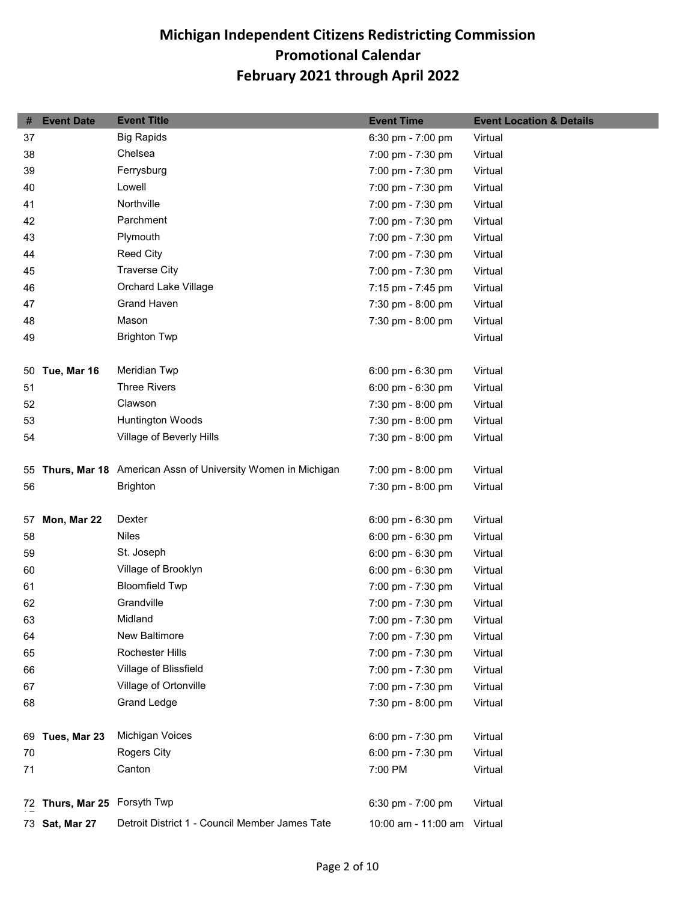| #  | <b>Event Date</b>            | <b>Event Title</b>                                             | <b>Event Time</b>           | <b>Event Location &amp; Details</b> |
|----|------------------------------|----------------------------------------------------------------|-----------------------------|-------------------------------------|
| 37 |                              | <b>Big Rapids</b>                                              | 6:30 pm - 7:00 pm           | Virtual                             |
| 38 |                              | Chelsea                                                        | 7:00 pm - 7:30 pm           | Virtual                             |
| 39 |                              | Ferrysburg                                                     | 7:00 pm - 7:30 pm           | Virtual                             |
| 40 |                              | Lowell                                                         | 7:00 pm - 7:30 pm           | Virtual                             |
| 41 |                              | Northville                                                     | 7:00 pm - 7:30 pm           | Virtual                             |
| 42 |                              | Parchment                                                      | 7:00 pm - 7:30 pm           | Virtual                             |
| 43 |                              | Plymouth                                                       | 7:00 pm - 7:30 pm           | Virtual                             |
| 44 |                              | <b>Reed City</b>                                               | 7:00 pm - 7:30 pm           | Virtual                             |
| 45 |                              | <b>Traverse City</b>                                           | 7:00 pm - 7:30 pm           | Virtual                             |
| 46 |                              | Orchard Lake Village                                           | 7:15 pm - 7:45 pm           | Virtual                             |
| 47 |                              | <b>Grand Haven</b>                                             | 7:30 pm - 8:00 pm           | Virtual                             |
| 48 |                              | Mason                                                          | 7:30 pm - 8:00 pm           | Virtual                             |
| 49 |                              | <b>Brighton Twp</b>                                            |                             | Virtual                             |
|    |                              |                                                                |                             |                                     |
|    | 50 Tue, Mar 16               | Meridian Twp                                                   | 6:00 pm - 6:30 pm           | Virtual                             |
| 51 |                              | <b>Three Rivers</b>                                            | 6:00 pm - 6:30 pm           | Virtual                             |
| 52 |                              | Clawson                                                        | 7:30 pm - 8:00 pm           | Virtual                             |
| 53 |                              | Huntington Woods                                               | 7:30 pm - 8:00 pm           | Virtual                             |
| 54 |                              | Village of Beverly Hills                                       | 7:30 pm - 8:00 pm           | Virtual                             |
|    |                              |                                                                |                             |                                     |
|    |                              | 55 Thurs, Mar 18 American Assn of University Women in Michigan | 7:00 pm - 8:00 pm           | Virtual                             |
| 56 |                              | <b>Brighton</b>                                                | 7:30 pm - 8:00 pm           | Virtual                             |
|    |                              |                                                                |                             |                                     |
| 57 | Mon, Mar 22                  | Dexter                                                         | 6:00 pm - 6:30 pm           | Virtual                             |
| 58 |                              | <b>Niles</b>                                                   | 6:00 pm - 6:30 pm           | Virtual                             |
| 59 |                              | St. Joseph                                                     | 6:00 pm - 6:30 pm           | Virtual                             |
| 60 |                              | Village of Brooklyn                                            | 6:00 pm - 6:30 pm           | Virtual                             |
| 61 |                              | <b>Bloomfield Twp</b>                                          | 7:00 pm - 7:30 pm           | Virtual                             |
| 62 |                              | Grandville                                                     | 7:00 pm - 7:30 pm           | Virtual                             |
| 63 |                              | Midland                                                        | 7:00 pm - 7:30 pm           | Virtual                             |
| 64 |                              | New Baltimore                                                  | 7:00 pm - 7:30 pm           | Virtual                             |
| 65 |                              | Rochester Hills                                                | 7:00 pm - 7:30 pm           | Virtual                             |
| 66 |                              | Village of Blissfield                                          | 7:00 pm - 7:30 pm           | Virtual                             |
| 67 |                              | Village of Ortonville                                          | 7:00 pm - 7:30 pm           | Virtual                             |
| 68 |                              | Grand Ledge                                                    | 7:30 pm - 8:00 pm           | Virtual                             |
|    |                              |                                                                |                             |                                     |
| 69 | Tues, Mar 23                 | Michigan Voices                                                | 6:00 pm - 7:30 pm           | Virtual                             |
| 70 |                              | Rogers City                                                    | 6:00 pm - 7:30 pm           | Virtual                             |
| 71 |                              | Canton                                                         | 7:00 PM                     | Virtual                             |
|    |                              |                                                                |                             |                                     |
|    | 72 Thurs, Mar 25 Forsyth Twp |                                                                | 6:30 pm - 7:00 pm           | Virtual                             |
|    | 73 Sat, Mar 27               | Detroit District 1 - Council Member James Tate                 | 10:00 am - 11:00 am Virtual |                                     |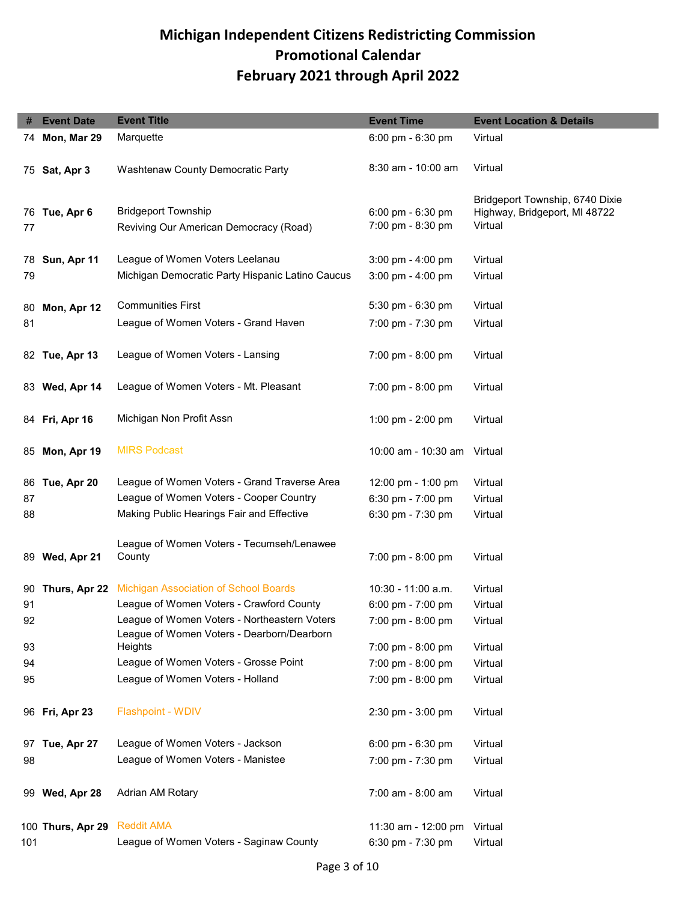|     | <b>Event Date</b> | <b>Event Title</b>                                                                         | <b>Event Time</b>                      | <b>Event Location &amp; Details</b>                                         |
|-----|-------------------|--------------------------------------------------------------------------------------------|----------------------------------------|-----------------------------------------------------------------------------|
|     | 74 Mon, Mar 29    | Marquette                                                                                  | 6:00 pm - 6:30 pm                      | Virtual                                                                     |
|     | 75 Sat, Apr 3     | Washtenaw County Democratic Party                                                          | 8:30 am - 10:00 am                     | Virtual                                                                     |
| 77  | 76 Tue, Apr 6     | <b>Bridgeport Township</b><br>Reviving Our American Democracy (Road)                       | 6:00 pm - 6:30 pm<br>7:00 pm - 8:30 pm | Bridgeport Township, 6740 Dixie<br>Highway, Bridgeport, MI 48722<br>Virtual |
|     | 78 Sun, Apr 11    | League of Women Voters Leelanau                                                            | 3:00 pm - 4:00 pm                      | Virtual                                                                     |
| 79  |                   | Michigan Democratic Party Hispanic Latino Caucus                                           | $3:00 \text{ pm} - 4:00 \text{ pm}$    | Virtual                                                                     |
| 80  | Mon, Apr 12       | <b>Communities First</b>                                                                   | 5:30 pm - 6:30 pm                      | Virtual                                                                     |
| 81  |                   | League of Women Voters - Grand Haven                                                       | 7:00 pm - 7:30 pm                      | Virtual                                                                     |
|     | 82 Tue, Apr 13    | League of Women Voters - Lansing                                                           | 7:00 pm - 8:00 pm                      | Virtual                                                                     |
|     | 83 Wed, Apr 14    | League of Women Voters - Mt. Pleasant                                                      | 7:00 pm - 8:00 pm                      | Virtual                                                                     |
|     | 84 Fri, Apr 16    | Michigan Non Profit Assn                                                                   | 1:00 pm - 2:00 pm                      | Virtual                                                                     |
|     | 85 Mon, Apr 19    | <b>MIRS Podcast</b>                                                                        | 10:00 am - 10:30 am Virtual            |                                                                             |
|     | 86 Tue, Apr 20    | League of Women Voters - Grand Traverse Area                                               | 12:00 pm - 1:00 pm                     | Virtual                                                                     |
| 87  |                   | League of Women Voters - Cooper Country                                                    | 6:30 pm - 7:00 pm                      | Virtual                                                                     |
| 88  |                   | Making Public Hearings Fair and Effective                                                  | 6:30 pm - 7:30 pm                      | Virtual                                                                     |
| 89. | Wed, Apr 21       | League of Women Voters - Tecumseh/Lenawee<br>County                                        | 7:00 pm - 8:00 pm                      | Virtual                                                                     |
| 90  | Thurs, Apr 22     | <b>Michigan Association of School Boards</b>                                               | $10:30 - 11:00$ a.m.                   | Virtual                                                                     |
| 91  |                   | League of Women Voters - Crawford County                                                   | 6:00 pm - $7:00$ pm                    | Virtual                                                                     |
| 92  |                   | League of Women Voters - Northeastern Voters<br>League of Women Voters - Dearborn/Dearborn | 7:00 pm - 8:00 pm                      | Virtual                                                                     |
| 93  |                   | Heights                                                                                    | 7:00 pm - 8:00 pm                      | Virtual                                                                     |
| 94  |                   | League of Women Voters - Grosse Point                                                      | 7:00 pm - 8:00 pm                      | Virtual                                                                     |
| 95  |                   | League of Women Voters - Holland                                                           | 7:00 pm - 8:00 pm                      | Virtual                                                                     |
|     | 96 Fri, Apr 23    | <b>Flashpoint - WDIV</b>                                                                   | 2:30 pm - 3:00 pm                      | Virtual                                                                     |
|     | 97 Tue, Apr 27    | League of Women Voters - Jackson                                                           | 6:00 pm - 6:30 pm                      | Virtual                                                                     |
| 98  |                   | League of Women Voters - Manistee                                                          | 7:00 pm - 7:30 pm                      | Virtual                                                                     |
|     | 99 Wed, Apr 28    | Adrian AM Rotary                                                                           | 7:00 am - 8:00 am                      | Virtual                                                                     |
|     | 100 Thurs, Apr 29 | <b>Reddit AMA</b>                                                                          | 11:30 am - 12:00 pm                    | Virtual                                                                     |
| 101 |                   | League of Women Voters - Saginaw County                                                    | 6:30 pm - 7:30 pm                      | Virtual                                                                     |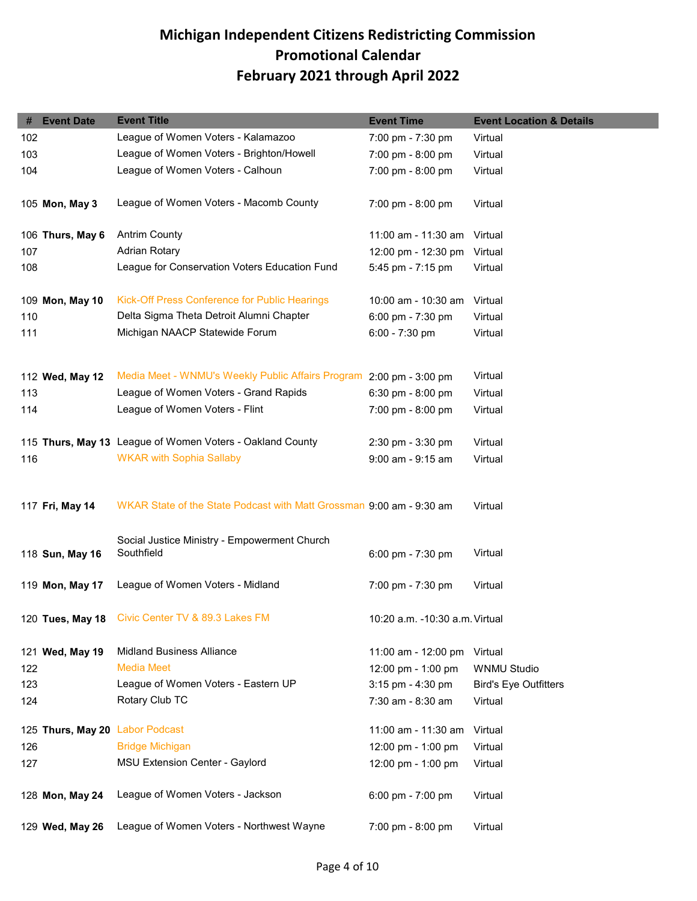| #   | <b>Event Date</b>               | <b>Event Title</b>                                                   | <b>Event Time</b>                   | <b>Event Location &amp; Details</b> |
|-----|---------------------------------|----------------------------------------------------------------------|-------------------------------------|-------------------------------------|
| 102 |                                 | League of Women Voters - Kalamazoo                                   | 7:00 pm - 7:30 pm                   | Virtual                             |
| 103 |                                 | League of Women Voters - Brighton/Howell                             | 7:00 pm - 8:00 pm                   | Virtual                             |
| 104 |                                 | League of Women Voters - Calhoun                                     | 7:00 pm - 8:00 pm                   | Virtual                             |
|     |                                 |                                                                      |                                     |                                     |
|     | 105 Mon, May 3                  | League of Women Voters - Macomb County                               | $7:00 \text{ pm} - 8:00 \text{ pm}$ | Virtual                             |
|     |                                 |                                                                      |                                     |                                     |
|     | 106 Thurs, May 6                | <b>Antrim County</b>                                                 | 11:00 am - 11:30 am                 | Virtual                             |
| 107 |                                 | <b>Adrian Rotary</b>                                                 | 12:00 pm - 12:30 pm                 | Virtual                             |
| 108 |                                 | League for Conservation Voters Education Fund                        | 5:45 pm - 7:15 pm                   | Virtual                             |
|     | 109 Mon, May 10                 | Kick-Off Press Conference for Public Hearings                        | 10:00 am - 10:30 am                 | Virtual                             |
| 110 |                                 | Delta Sigma Theta Detroit Alumni Chapter                             | 6:00 pm - 7:30 pm                   | Virtual                             |
| 111 |                                 | Michigan NAACP Statewide Forum                                       | 6:00 - 7:30 pm                      | Virtual                             |
|     |                                 |                                                                      |                                     |                                     |
|     | 112 Wed, May 12                 | Media Meet - WNMU's Weekly Public Affairs Program 2:00 pm - 3:00 pm  |                                     | Virtual                             |
| 113 |                                 | League of Women Voters - Grand Rapids                                | $6:30$ pm - $8:00$ pm               |                                     |
|     |                                 | League of Women Voters - Flint                                       |                                     | Virtual                             |
| 114 |                                 |                                                                      | 7:00 pm - 8:00 pm                   | Virtual                             |
|     |                                 | 115 Thurs, May 13 League of Women Voters - Oakland County            | 2:30 pm - 3:30 pm                   | Virtual                             |
| 116 |                                 | <b>WKAR with Sophia Sallaby</b>                                      | 9:00 am - 9:15 am                   | Virtual                             |
|     |                                 |                                                                      |                                     |                                     |
|     | 117 Fri, May 14                 | WKAR State of the State Podcast with Matt Grossman 9:00 am - 9:30 am |                                     | Virtual                             |
|     |                                 |                                                                      |                                     |                                     |
|     |                                 | Social Justice Ministry - Empowerment Church                         |                                     |                                     |
|     | 118 Sun, May 16                 | Southfield                                                           | 6:00 pm - 7:30 pm                   | Virtual                             |
|     |                                 |                                                                      |                                     |                                     |
|     | 119 Mon, May 17                 | League of Women Voters - Midland                                     | 7:00 pm - 7:30 pm                   | Virtual                             |
|     |                                 | 120 Tues, May 18 Civic Center TV & 89.3 Lakes FM                     | 10:20 a.m. -10:30 a.m. Virtual      |                                     |
|     |                                 |                                                                      |                                     |                                     |
|     | 121 Wed, May 19                 | <b>Midland Business Alliance</b>                                     | 11:00 am - 12:00 pm                 | Virtual                             |
| 122 |                                 | <b>Media Meet</b>                                                    | 12:00 pm - 1:00 pm                  | <b>WNMU Studio</b>                  |
| 123 |                                 | League of Women Voters - Eastern UP                                  | 3:15 pm - 4:30 pm                   | <b>Bird's Eye Outfitters</b>        |
| 124 |                                 | Rotary Club TC                                                       | 7:30 am - 8:30 am                   | Virtual                             |
|     | 125 Thurs, May 20 Labor Podcast |                                                                      | 11:00 am - 11:30 am                 | Virtual                             |
| 126 |                                 | <b>Bridge Michigan</b>                                               | 12:00 pm - 1:00 pm                  | Virtual                             |
|     |                                 | MSU Extension Center - Gaylord                                       |                                     |                                     |
| 127 |                                 |                                                                      | 12:00 pm - 1:00 pm                  | Virtual                             |
|     | 128 Mon, May 24                 | League of Women Voters - Jackson                                     | 6:00 pm - 7:00 pm                   | Virtual                             |
|     |                                 |                                                                      |                                     |                                     |
|     | 129 Wed, May 26                 | League of Women Voters - Northwest Wayne                             | 7:00 pm - 8:00 pm                   | Virtual                             |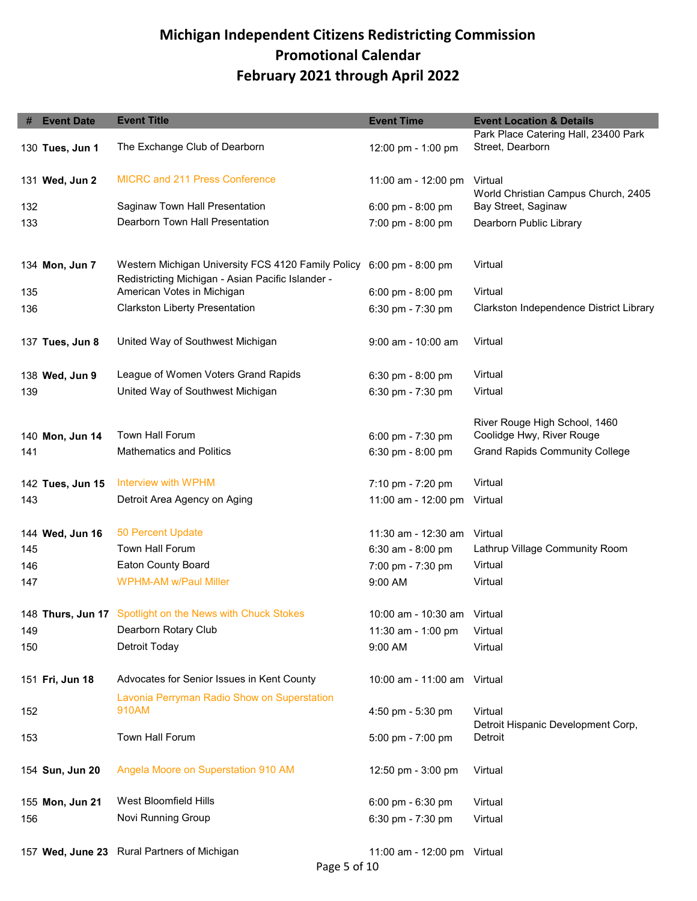| #   | <b>Event Date</b> | <b>Event Title</b>                                                                                      | <b>Event Time</b>                   | <b>Event Location &amp; Details</b>                        |
|-----|-------------------|---------------------------------------------------------------------------------------------------------|-------------------------------------|------------------------------------------------------------|
|     | 130 Tues, Jun 1   | The Exchange Club of Dearborn                                                                           | 12:00 pm - 1:00 pm                  | Park Place Catering Hall, 23400 Park<br>Street, Dearborn   |
|     | 131 Wed, Jun 2    | <b>MICRC and 211 Press Conference</b>                                                                   | 11:00 am - 12:00 pm                 | Virtual                                                    |
| 132 |                   | Saginaw Town Hall Presentation                                                                          | 6:00 pm - 8:00 pm                   | World Christian Campus Church, 2405<br>Bay Street, Saginaw |
| 133 |                   | Dearborn Town Hall Presentation                                                                         | 7:00 pm - 8:00 pm                   | Dearborn Public Library                                    |
|     | 134 Mon, Jun 7    | Western Michigan University FCS 4120 Family Policy<br>Redistricting Michigan - Asian Pacific Islander - | $6:00 \text{ pm} - 8:00 \text{ pm}$ | Virtual                                                    |
| 135 |                   | American Votes in Michigan                                                                              | 6:00 pm - 8:00 pm                   | Virtual                                                    |
| 136 |                   | <b>Clarkston Liberty Presentation</b>                                                                   | 6:30 pm - $7:30$ pm                 | Clarkston Independence District Library                    |
|     | 137 Tues, Jun 8   | United Way of Southwest Michigan                                                                        | 9:00 am - 10:00 am                  | Virtual                                                    |
|     | 138 Wed, Jun 9    | League of Women Voters Grand Rapids                                                                     | 6:30 pm - 8:00 pm                   | Virtual                                                    |
| 139 |                   | United Way of Southwest Michigan                                                                        | 6:30 pm - $7:30$ pm                 | Virtual                                                    |
|     | 140 Mon, Jun 14   | Town Hall Forum                                                                                         | 6:00 pm - 7:30 pm                   | River Rouge High School, 1460<br>Coolidge Hwy, River Rouge |
| 141 |                   | <b>Mathematics and Politics</b>                                                                         | 6:30 pm - 8:00 pm                   | <b>Grand Rapids Community College</b>                      |
|     |                   |                                                                                                         |                                     |                                                            |
|     | 142 Tues, Jun 15  | Interview with WPHM                                                                                     | 7:10 pm - 7:20 pm                   | Virtual                                                    |
| 143 |                   | Detroit Area Agency on Aging                                                                            | 11:00 am - 12:00 pm                 | Virtual                                                    |
|     | 144 Wed, Jun 16   | 50 Percent Update                                                                                       | 11:30 am - 12:30 am                 | Virtual                                                    |
| 145 |                   | Town Hall Forum                                                                                         | 6:30 am - 8:00 pm                   | Lathrup Village Community Room                             |
| 146 |                   | <b>Eaton County Board</b>                                                                               | 7:00 pm - 7:30 pm                   | Virtual                                                    |
| 147 |                   | <b>WPHM-AM w/Paul Miller</b>                                                                            | 9:00 AM                             | Virtual                                                    |
|     |                   | 148 Thurs, Jun 17 Spotlight on the News with Chuck Stokes                                               | 10:00 am - 10:30 am Virtual         |                                                            |
| 149 |                   | Dearborn Rotary Club                                                                                    | 11:30 am - 1:00 pm                  | Virtual                                                    |
| 150 |                   | Detroit Today                                                                                           | 9:00 AM                             | Virtual                                                    |
|     | 151 Fri, Jun 18   | Advocates for Senior Issues in Kent County                                                              | 10:00 am - 11:00 am Virtual         |                                                            |
| 152 |                   | Lavonia Perryman Radio Show on Superstation<br>910AM                                                    | 4:50 pm - 5:30 pm                   | Virtual<br>Detroit Hispanic Development Corp,              |
| 153 |                   | Town Hall Forum                                                                                         | $5:00 \text{ pm} - 7:00 \text{ pm}$ | Detroit                                                    |
|     | 154 Sun, Jun 20   | Angela Moore on Superstation 910 AM                                                                     | 12:50 pm - 3:00 pm                  | Virtual                                                    |
|     | 155 Mon, Jun 21   | West Bloomfield Hills                                                                                   | 6:00 pm - 6:30 pm                   | Virtual                                                    |
| 156 |                   | Novi Running Group                                                                                      | 6:30 pm - 7:30 pm                   | Virtual                                                    |
|     |                   | 157 Wed, June 23 Rural Partners of Michigan                                                             | 11:00 am - 12:00 pm Virtual         |                                                            |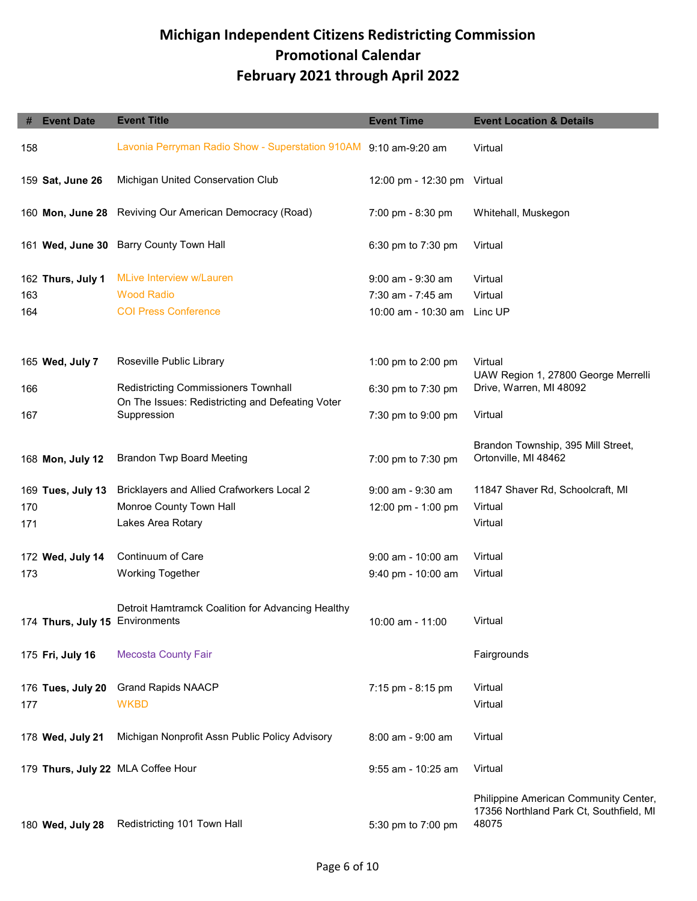| #   | <b>Event Date</b>               | <b>Event Title</b>                                               | <b>Event Time</b>           | <b>Event Location &amp; Details</b>                                                       |
|-----|---------------------------------|------------------------------------------------------------------|-----------------------------|-------------------------------------------------------------------------------------------|
| 158 |                                 | Lavonia Perryman Radio Show - Superstation 910AM 9:10 am-9:20 am |                             | Virtual                                                                                   |
|     | 159 Sat, June 26                | Michigan United Conservation Club                                | 12:00 pm - 12:30 pm Virtual |                                                                                           |
|     | 160 Mon, June 28                | Reviving Our American Democracy (Road)                           | 7:00 pm - 8:30 pm           | Whitehall, Muskegon                                                                       |
|     | 161 Wed, June 30                | <b>Barry County Town Hall</b>                                    | 6:30 pm to 7:30 pm          | Virtual                                                                                   |
|     | 162 Thurs, July 1               | <b>MLive Interview w/Lauren</b>                                  | 9:00 am - 9:30 am           | Virtual                                                                                   |
| 163 |                                 | <b>Wood Radio</b>                                                | 7:30 am - 7:45 am           | Virtual                                                                                   |
| 164 |                                 | <b>COI Press Conference</b>                                      | 10:00 am - 10:30 am         | Linc UP                                                                                   |
|     | 165 Wed, July 7                 | Roseville Public Library                                         | 1:00 pm to 2:00 pm          | Virtual<br>UAW Region 1, 27800 George Merrelli                                            |
| 166 |                                 | Redistricting Commissioners Townhall                             | 6:30 pm to 7:30 pm          | Drive, Warren, MI 48092                                                                   |
| 167 |                                 | On The Issues: Redistricting and Defeating Voter<br>Suppression  | 7:30 pm to 9:00 pm          | Virtual                                                                                   |
|     | 168 Mon, July 12                | <b>Brandon Twp Board Meeting</b>                                 | 7:00 pm to 7:30 pm          | Brandon Township, 395 Mill Street,<br>Ortonville, MI 48462                                |
|     | 169 Tues, July 13               | Bricklayers and Allied Crafworkers Local 2                       | 9:00 am - 9:30 am           | 11847 Shaver Rd, Schoolcraft, MI                                                          |
| 170 |                                 | Monroe County Town Hall                                          | 12:00 pm - 1:00 pm          | Virtual                                                                                   |
| 171 |                                 | Lakes Area Rotary                                                |                             | Virtual                                                                                   |
|     | 172 Wed, July 14                | Continuum of Care                                                | $9:00$ am - 10:00 am        | Virtual                                                                                   |
| 173 |                                 | <b>Working Together</b>                                          | 9:40 pm - 10:00 am          | Virtual                                                                                   |
|     | 174 Thurs, July 15 Environments | Detroit Hamtramck Coalition for Advancing Healthy                | 10:00 am - 11:00            | Virtual                                                                                   |
|     | 175 Fri, July 16                | <b>Mecosta County Fair</b>                                       |                             | Fairgrounds                                                                               |
|     | 176 Tues, July 20               | <b>Grand Rapids NAACP</b>                                        | 7:15 pm - 8:15 pm           | Virtual                                                                                   |
| 177 |                                 | <b>WKBD</b>                                                      |                             | Virtual                                                                                   |
|     | 178 Wed, July 21                | Michigan Nonprofit Assn Public Policy Advisory                   | 8:00 am - 9:00 am           | Virtual                                                                                   |
|     |                                 | 179 Thurs, July 22 MLA Coffee Hour                               | 9:55 am - 10:25 am          | Virtual                                                                                   |
|     | 180 Wed, July 28                | Redistricting 101 Town Hall                                      | 5:30 pm to 7:00 pm          | Philippine American Community Center,<br>17356 Northland Park Ct, Southfield, MI<br>48075 |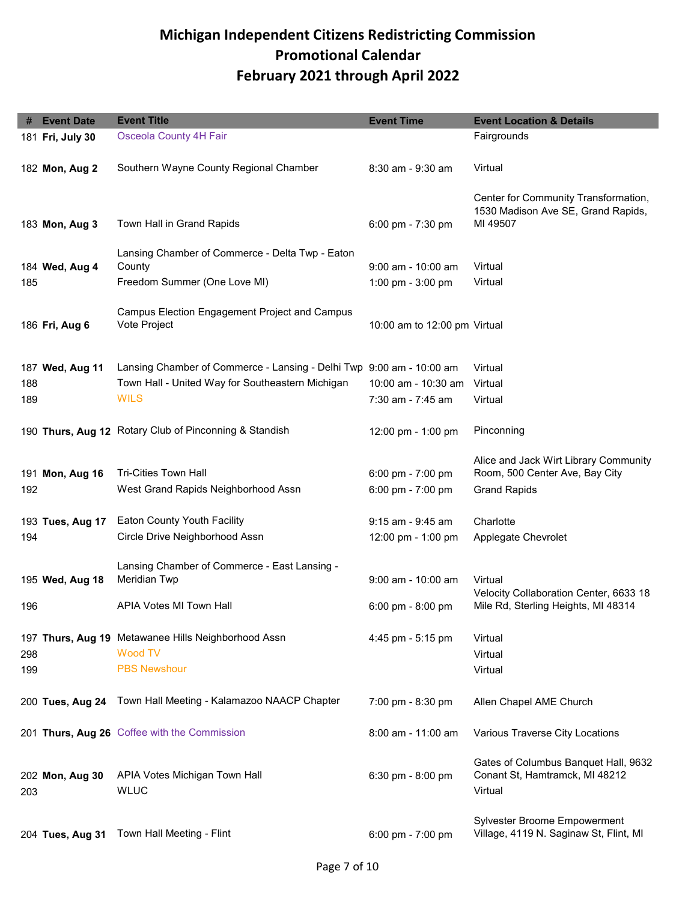| #   | <b>Event Date</b> | <b>Event Title</b>                                                   | <b>Event Time</b>                        | <b>Event Location &amp; Details</b>                                           |
|-----|-------------------|----------------------------------------------------------------------|------------------------------------------|-------------------------------------------------------------------------------|
|     | 181 Fri, July 30  | <b>Osceola County 4H Fair</b>                                        |                                          | Fairgrounds                                                                   |
|     |                   |                                                                      |                                          |                                                                               |
|     | 182 Mon, Aug 2    | Southern Wayne County Regional Chamber                               | 8:30 am - 9:30 am                        | Virtual                                                                       |
|     |                   |                                                                      |                                          |                                                                               |
|     |                   |                                                                      |                                          | Center for Community Transformation,                                          |
|     | 183 Mon, Aug 3    | Town Hall in Grand Rapids                                            | 6:00 pm - 7:30 pm                        | 1530 Madison Ave SE, Grand Rapids,<br>MI 49507                                |
|     |                   |                                                                      |                                          |                                                                               |
|     |                   | Lansing Chamber of Commerce - Delta Twp - Eaton                      |                                          |                                                                               |
|     | 184 Wed, Aug 4    | County                                                               | $9:00$ am - 10:00 am                     | Virtual                                                                       |
| 185 |                   | Freedom Summer (One Love MI)                                         | 1:00 pm - $3:00$ pm                      | Virtual                                                                       |
|     |                   |                                                                      |                                          |                                                                               |
|     |                   | Campus Election Engagement Project and Campus<br>Vote Project        |                                          |                                                                               |
|     | 186 Fri, Aug 6    |                                                                      | 10:00 am to 12:00 pm Virtual             |                                                                               |
|     |                   |                                                                      |                                          |                                                                               |
|     | 187 Wed, Aug 11   | Lansing Chamber of Commerce - Lansing - Delhi Twp 9:00 am - 10:00 am |                                          | Virtual                                                                       |
| 188 |                   | Town Hall - United Way for Southeastern Michigan                     | 10:00 am - 10:30 am                      | Virtual                                                                       |
| 189 |                   | <b>WILS</b>                                                          | 7:30 am - 7:45 am                        | Virtual                                                                       |
|     |                   |                                                                      |                                          |                                                                               |
|     |                   | 190 Thurs, Aug 12 Rotary Club of Pinconning & Standish               | 12:00 pm - 1:00 pm                       | Pinconning                                                                    |
|     |                   |                                                                      |                                          |                                                                               |
|     |                   | <b>Tri-Cities Town Hall</b>                                          |                                          | Alice and Jack Wirt Library Community<br>Room, 500 Center Ave, Bay City       |
| 192 | 191 Mon, Aug 16   | West Grand Rapids Neighborhood Assn                                  | 6:00 pm - $7:00$ pm<br>6:00 pm - 7:00 pm | <b>Grand Rapids</b>                                                           |
|     |                   |                                                                      |                                          |                                                                               |
|     | 193 Tues, Aug 17  | Eaton County Youth Facility                                          | 9:15 am - 9:45 am                        | Charlotte                                                                     |
| 194 |                   | Circle Drive Neighborhood Assn                                       | 12:00 pm - 1:00 pm                       | Applegate Chevrolet                                                           |
|     |                   |                                                                      |                                          |                                                                               |
|     |                   | Lansing Chamber of Commerce - East Lansing -                         |                                          |                                                                               |
|     | 195 Wed, Aug 18   | Meridian Twp                                                         | $9:00$ am - 10:00 am                     | Virtual                                                                       |
| 196 |                   | APIA Votes MI Town Hall                                              | $6:00 \text{ pm} - 8:00 \text{ pm}$      | Velocity Collaboration Center, 6633 18<br>Mile Rd, Sterling Heights, MI 48314 |
|     |                   |                                                                      |                                          |                                                                               |
|     |                   | 197 Thurs, Aug 19 Metawanee Hills Neighborhood Assn                  | 4:45 pm - 5:15 pm                        | Virtual                                                                       |
| 298 |                   | Wood TV                                                              |                                          | Virtual                                                                       |
| 199 |                   | <b>PBS Newshour</b>                                                  |                                          | Virtual                                                                       |
|     |                   |                                                                      |                                          |                                                                               |
|     |                   | 200 Tues, Aug 24 Town Hall Meeting - Kalamazoo NAACP Chapter         | 7:00 pm - 8:30 pm                        | Allen Chapel AME Church                                                       |
|     |                   |                                                                      |                                          |                                                                               |
|     |                   | 201 Thurs, Aug 26 Coffee with the Commission                         | 8:00 am - 11:00 am                       | Various Traverse City Locations                                               |
|     |                   |                                                                      |                                          |                                                                               |
|     |                   |                                                                      |                                          | Gates of Columbus Banquet Hall, 9632                                          |
|     |                   |                                                                      |                                          |                                                                               |
|     | 202 Mon, Aug 30   | APIA Votes Michigan Town Hall                                        | 6:30 pm - 8:00 pm                        | Conant St, Hamtramck, MI 48212                                                |
| 203 |                   | <b>WLUC</b>                                                          |                                          | Virtual                                                                       |
|     |                   |                                                                      |                                          | <b>Sylvester Broome Empowerment</b>                                           |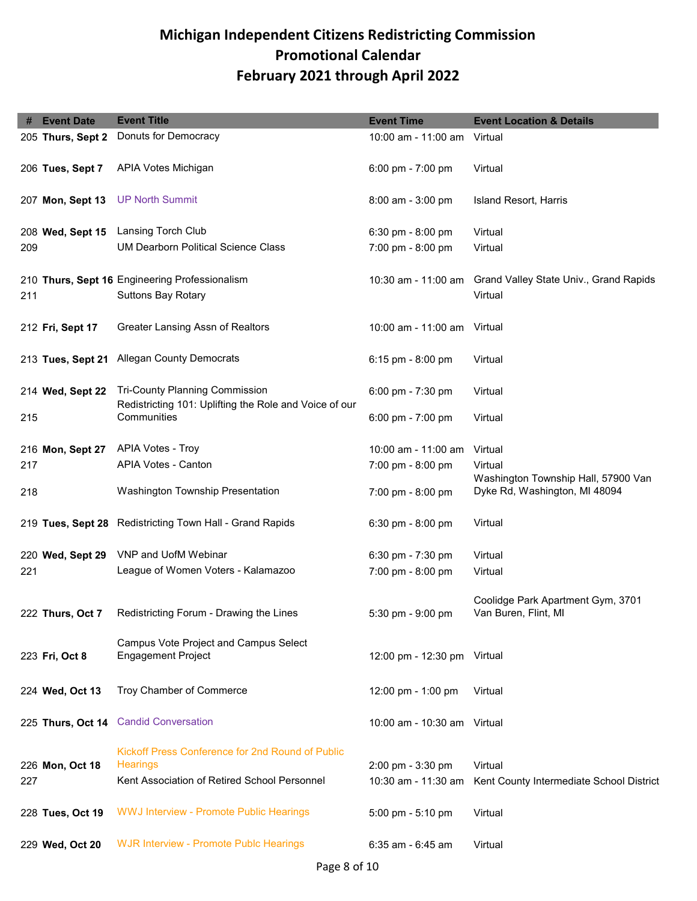| #   | <b>Event Date</b> | <b>Event Title</b>                                                  | <b>Event Time</b>           | <b>Event Location &amp; Details</b>            |
|-----|-------------------|---------------------------------------------------------------------|-----------------------------|------------------------------------------------|
|     | 205 Thurs, Sept 2 | Donuts for Democracy                                                | 10:00 am - 11:00 am         | Virtual                                        |
|     |                   |                                                                     |                             |                                                |
|     | 206 Tues, Sept 7  | APIA Votes Michigan                                                 | 6:00 pm - 7:00 pm           | Virtual                                        |
|     |                   |                                                                     |                             |                                                |
|     | 207 Mon, Sept 13  | <b>UP North Summit</b>                                              | $8:00$ am - $3:00$ pm       | Island Resort, Harris                          |
|     |                   |                                                                     |                             |                                                |
|     | 208 Wed, Sept 15  | Lansing Torch Club                                                  | 6:30 pm - 8:00 pm           | Virtual                                        |
| 209 |                   | <b>UM Dearborn Political Science Class</b>                          | 7:00 pm - 8:00 pm           | Virtual                                        |
|     |                   | 210 Thurs, Sept 16 Engineering Professionalism                      | 10:30 am - 11:00 am         | Grand Valley State Univ., Grand Rapids         |
|     |                   |                                                                     |                             | Virtual                                        |
| 211 |                   | <b>Suttons Bay Rotary</b>                                           |                             |                                                |
|     | 212 Fri, Sept 17  | Greater Lansing Assn of Realtors                                    | 10:00 am - 11:00 am         | Virtual                                        |
|     |                   |                                                                     |                             |                                                |
|     |                   | 213 Tues, Sept 21 Allegan County Democrats                          | 6:15 pm - 8:00 pm           | Virtual                                        |
|     |                   |                                                                     |                             |                                                |
|     | 214 Wed, Sept 22  | <b>Tri-County Planning Commission</b>                               | 6:00 pm - 7:30 pm           | Virtual                                        |
|     |                   | Redistricting 101: Uplifting the Role and Voice of our              |                             |                                                |
| 215 |                   | Communities                                                         | 6:00 pm - $7:00$ pm         | Virtual                                        |
|     | 216 Mon, Sept 27  | APIA Votes - Troy                                                   | 10:00 am - 11:00 am         | Virtual                                        |
|     |                   | APIA Votes - Canton                                                 |                             |                                                |
| 217 |                   |                                                                     | 7:00 pm - 8:00 pm           | Virtual<br>Washington Township Hall, 57900 Van |
| 218 |                   | Washington Township Presentation                                    | 7:00 pm - 8:00 pm           | Dyke Rd, Washington, MI 48094                  |
|     |                   |                                                                     |                             |                                                |
|     |                   | 219 Tues, Sept 28 Redistricting Town Hall - Grand Rapids            | $6:30$ pm - $8:00$ pm       | Virtual                                        |
|     |                   |                                                                     |                             |                                                |
|     | 220 Wed, Sept 29  | <b>VNP and UofM Webinar</b>                                         | 6:30 pm - 7:30 pm           | Virtual                                        |
| 221 |                   | League of Women Voters - Kalamazoo                                  | 7:00 pm - 8:00 pm           | Virtual                                        |
|     |                   |                                                                     |                             |                                                |
|     |                   | Redistricting Forum - Drawing the Lines                             |                             | Coolidge Park Apartment Gym, 3701              |
|     | 222 Thurs, Oct 7  |                                                                     | 5:30 pm - 9:00 pm           | Van Buren, Flint, MI                           |
|     |                   | Campus Vote Project and Campus Select                               |                             |                                                |
|     | 223 Fri, Oct 8    | <b>Engagement Project</b>                                           | 12:00 pm - 12:30 pm Virtual |                                                |
|     |                   |                                                                     |                             |                                                |
|     | 224 Wed, Oct 13   | Troy Chamber of Commerce                                            | 12:00 pm - 1:00 pm          | Virtual                                        |
|     |                   |                                                                     |                             |                                                |
|     |                   | 225 Thurs, Oct 14 Candid Conversation                               | 10:00 am - 10:30 am Virtual |                                                |
|     |                   |                                                                     |                             |                                                |
|     |                   | Kickoff Press Conference for 2nd Round of Public<br><b>Hearings</b> |                             |                                                |
|     | 226 Mon, Oct 18   |                                                                     | 2:00 pm - 3:30 pm           | Virtual                                        |
| 227 |                   | Kent Association of Retired School Personnel                        | 10:30 am - 11:30 am         | Kent County Intermediate School District       |
|     | 228 Tues, Oct 19  | WWJ Interview - Promote Public Hearings                             | 5:00 pm - 5:10 pm           | Virtual                                        |
|     |                   |                                                                     |                             |                                                |
|     | 229 Wed, Oct 20   | <b>WJR Interview - Promote Publc Hearings</b>                       | 6:35 am - 6:45 am           | Virtual                                        |
|     |                   |                                                                     |                             |                                                |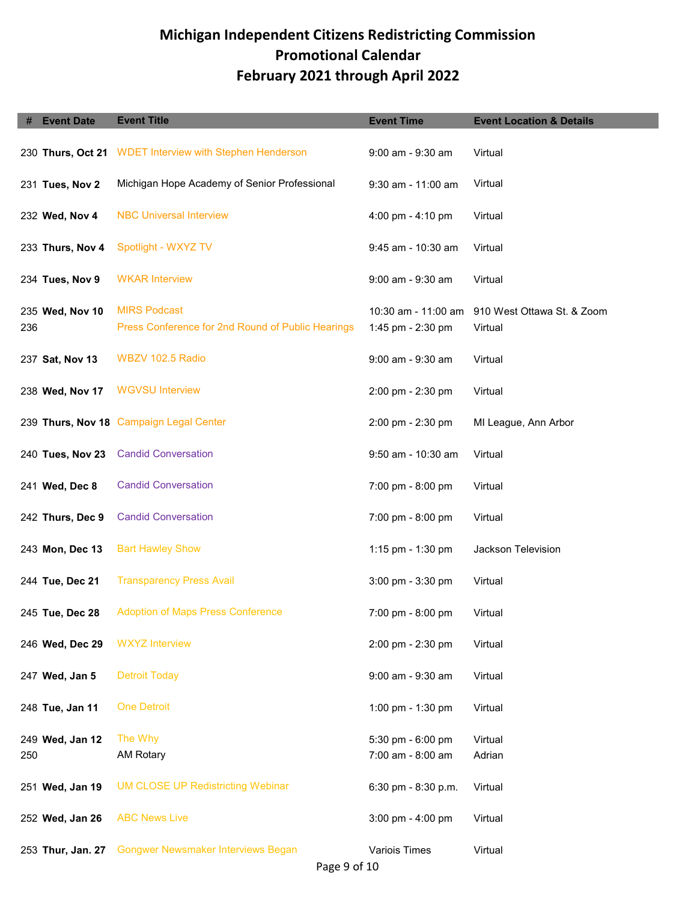|     | <b>Event Date</b> | <b>Event Title</b>                                                       | <b>Event Time</b>                        | <b>Event Location &amp; Details</b>   |
|-----|-------------------|--------------------------------------------------------------------------|------------------------------------------|---------------------------------------|
|     | 230 Thurs, Oct 21 | <b>WDET Interview with Stephen Henderson</b>                             | 9:00 am - 9:30 am                        | Virtual                               |
|     | 231 Tues, Nov 2   | Michigan Hope Academy of Senior Professional                             | 9:30 am - 11:00 am                       | Virtual                               |
|     | 232 Wed, Nov 4    | <b>NBC Universal Interview</b>                                           | 4:00 pm - 4:10 pm                        | Virtual                               |
|     | 233 Thurs, Nov 4  | Spotlight - WXYZ TV                                                      | 9:45 am - 10:30 am                       | Virtual                               |
|     | 234 Tues, Nov 9   | <b>WKAR Interview</b>                                                    | 9:00 am - 9:30 am                        | Virtual                               |
| 236 | 235 Wed, Nov 10   | <b>MIRS Podcast</b><br>Press Conference for 2nd Round of Public Hearings | 10:30 am - 11:00 am<br>1:45 pm - 2:30 pm | 910 West Ottawa St. & Zoom<br>Virtual |
|     | 237 Sat, Nov 13   | WBZV 102.5 Radio                                                         | 9:00 am - 9:30 am                        | Virtual                               |
|     | 238 Wed, Nov 17   | <b>WGVSU Interview</b>                                                   | 2:00 pm - 2:30 pm                        | Virtual                               |
|     |                   | 239 Thurs, Nov 18 Campaign Legal Center                                  | $2:00 \text{ pm} - 2:30 \text{ pm}$      | MI League, Ann Arbor                  |
|     | 240 Tues, Nov 23  | <b>Candid Conversation</b>                                               | 9:50 am - 10:30 am                       | Virtual                               |
|     | 241 Wed, Dec 8    | <b>Candid Conversation</b>                                               | 7:00 pm - 8:00 pm                        | Virtual                               |
|     | 242 Thurs, Dec 9  | <b>Candid Conversation</b>                                               | 7:00 pm - 8:00 pm                        | Virtual                               |
|     | 243 Mon, Dec 13   | <b>Bart Hawley Show</b>                                                  | 1:15 pm - 1:30 pm                        | Jackson Television                    |
|     | 244 Tue, Dec 21   | <b>Transparency Press Avail</b>                                          | 3:00 pm - 3:30 pm                        | Virtual                               |
|     | 245 Tue, Dec 28   | <b>Adoption of Maps Press Conference</b>                                 | 7:00 pm - 8:00 pm                        | Virtual                               |
|     | 246 Wed, Dec 29   | <b>WXYZ</b> Interview                                                    | 2:00 pm - 2:30 pm                        | Virtual                               |
|     | 247 Wed, Jan 5    | <b>Detroit Today</b>                                                     | 9:00 am - 9:30 am                        | Virtual                               |
|     | 248 Tue, Jan 11   | <b>One Detroit</b>                                                       | 1:00 pm - 1:30 pm                        | Virtual                               |
| 250 | 249 Wed, Jan 12   | The Why<br><b>AM Rotary</b>                                              | 5:30 pm - 6:00 pm<br>7:00 am - 8:00 am   | Virtual<br>Adrian                     |
|     | 251 Wed, Jan 19   | <b>UM CLOSE UP Redistricting Webinar</b>                                 | 6:30 pm - 8:30 p.m.                      | Virtual                               |
|     | 252 Wed, Jan 26   | <b>ABC News Live</b>                                                     | $3:00 \text{ pm} - 4:00 \text{ pm}$      | Virtual                               |
|     | 253 Thur, Jan. 27 | <b>Gongwer Newsmaker Interviews Began</b>                                | Variois Times                            | Virtual                               |